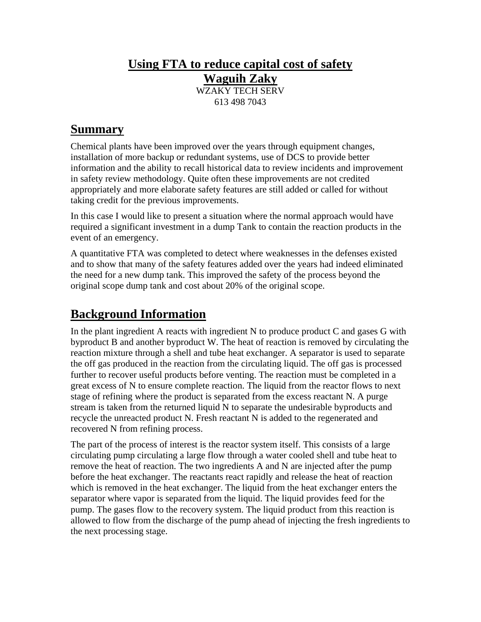## **Using FTA to reduce capital cost of safety Waguih Zaky**

WZAKY TECH SERV 613 498 7043

## **Summary**

Chemical plants have been improved over the years through equipment changes, installation of more backup or redundant systems, use of DCS to provide better information and the ability to recall historical data to review incidents and improvement in safety review methodology. Quite often these improvements are not credited appropriately and more elaborate safety features are still added or called for without taking credit for the previous improvements.

In this case I would like to present a situation where the normal approach would have required a significant investment in a dump Tank to contain the reaction products in the event of an emergency.

A quantitative FTA was completed to detect where weaknesses in the defenses existed and to show that many of the safety features added over the years had indeed eliminated the need for a new dump tank. This improved the safety of the process beyond the original scope dump tank and cost about 20% of the original scope.

# **Background Information**

In the plant ingredient A reacts with ingredient N to produce product C and gases G with byproduct B and another byproduct W. The heat of reaction is removed by circulating the reaction mixture through a shell and tube heat exchanger. A separator is used to separate the off gas produced in the reaction from the circulating liquid. The off gas is processed further to recover useful products before venting. The reaction must be completed in a great excess of N to ensure complete reaction. The liquid from the reactor flows to next stage of refining where the product is separated from the excess reactant N. A purge stream is taken from the returned liquid N to separate the undesirable byproducts and recycle the unreacted product N. Fresh reactant N is added to the regenerated and recovered N from refining process.

The part of the process of interest is the reactor system itself. This consists of a large circulating pump circulating a large flow through a water cooled shell and tube heat to remove the heat of reaction. The two ingredients A and N are injected after the pump before the heat exchanger. The reactants react rapidly and release the heat of reaction which is removed in the heat exchanger. The liquid from the heat exchanger enters the separator where vapor is separated from the liquid. The liquid provides feed for the pump. The gases flow to the recovery system. The liquid product from this reaction is allowed to flow from the discharge of the pump ahead of injecting the fresh ingredients to the next processing stage.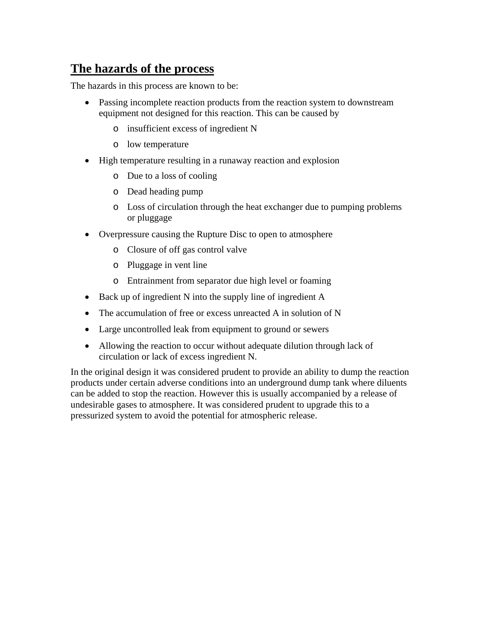#### **The hazards of the process**

The hazards in this process are known to be:

- Passing incomplete reaction products from the reaction system to downstream equipment not designed for this reaction. This can be caused by
	- o insufficient excess of ingredient N
	- o low temperature
- High temperature resulting in a runaway reaction and explosion
	- o Due to a loss of cooling
	- o Dead heading pump
	- o Loss of circulation through the heat exchanger due to pumping problems or pluggage
- Overpressure causing the Rupture Disc to open to atmosphere
	- o Closure of off gas control valve
	- o Pluggage in vent line
	- o Entrainment from separator due high level or foaming
- Back up of ingredient N into the supply line of ingredient A
- The accumulation of free or excess unreacted A in solution of N
- Large uncontrolled leak from equipment to ground or sewers
- Allowing the reaction to occur without adequate dilution through lack of circulation or lack of excess ingredient N.

In the original design it was considered prudent to provide an ability to dump the reaction products under certain adverse conditions into an underground dump tank where diluents can be added to stop the reaction. However this is usually accompanied by a release of undesirable gases to atmosphere. It was considered prudent to upgrade this to a pressurized system to avoid the potential for atmospheric release.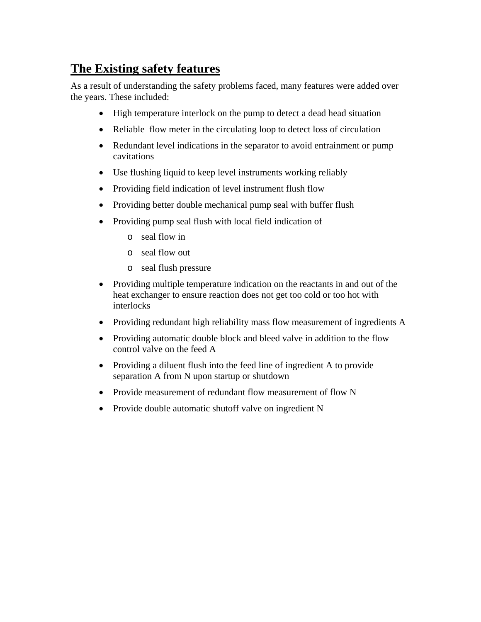#### **The Existing safety features**

As a result of understanding the safety problems faced, many features were added over the years. These included:

- High temperature interlock on the pump to detect a dead head situation
- Reliable flow meter in the circulating loop to detect loss of circulation
- Redundant level indications in the separator to avoid entrainment or pump cavitations
- Use flushing liquid to keep level instruments working reliably
- Providing field indication of level instrument flush flow
- Providing better double mechanical pump seal with buffer flush
- Providing pump seal flush with local field indication of
	- o seal flow in
	- o seal flow out
	- o seal flush pressure
- Providing multiple temperature indication on the reactants in and out of the heat exchanger to ensure reaction does not get too cold or too hot with interlocks
- Providing redundant high reliability mass flow measurement of ingredients A
- Providing automatic double block and bleed valve in addition to the flow control valve on the feed A
- Providing a diluent flush into the feed line of ingredient A to provide separation A from N upon startup or shutdown
- Provide measurement of redundant flow measurement of flow N
- Provide double automatic shutoff valve on ingredient N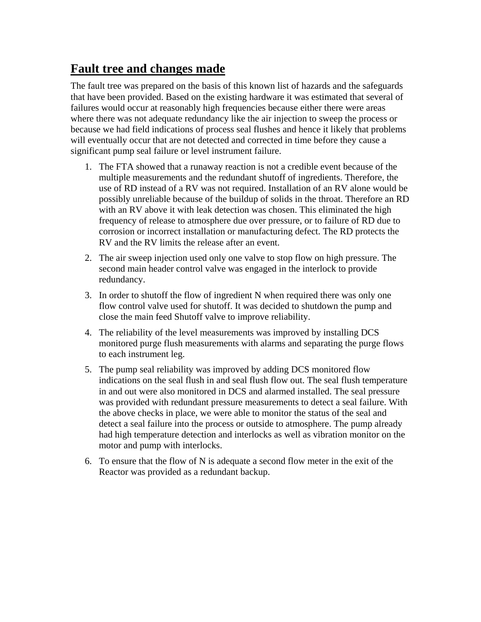## **Fault tree and changes made**

The fault tree was prepared on the basis of this known list of hazards and the safeguards that have been provided. Based on the existing hardware it was estimated that several of failures would occur at reasonably high frequencies because either there were areas where there was not adequate redundancy like the air injection to sweep the process or because we had field indications of process seal flushes and hence it likely that problems will eventually occur that are not detected and corrected in time before they cause a significant pump seal failure or level instrument failure.

- 1. The FTA showed that a runaway reaction is not a credible event because of the multiple measurements and the redundant shutoff of ingredients. Therefore, the use of RD instead of a RV was not required. Installation of an RV alone would be possibly unreliable because of the buildup of solids in the throat. Therefore an RD with an RV above it with leak detection was chosen. This eliminated the high frequency of release to atmosphere due over pressure, or to failure of RD due to corrosion or incorrect installation or manufacturing defect. The RD protects the RV and the RV limits the release after an event.
- 2. The air sweep injection used only one valve to stop flow on high pressure. The second main header control valve was engaged in the interlock to provide redundancy.
- 3. In order to shutoff the flow of ingredient N when required there was only one flow control valve used for shutoff. It was decided to shutdown the pump and close the main feed Shutoff valve to improve reliability.
- 4. The reliability of the level measurements was improved by installing DCS monitored purge flush measurements with alarms and separating the purge flows to each instrument leg.
- 5. The pump seal reliability was improved by adding DCS monitored flow indications on the seal flush in and seal flush flow out. The seal flush temperature in and out were also monitored in DCS and alarmed installed. The seal pressure was provided with redundant pressure measurements to detect a seal failure. With the above checks in place, we were able to monitor the status of the seal and detect a seal failure into the process or outside to atmosphere. The pump already had high temperature detection and interlocks as well as vibration monitor on the motor and pump with interlocks.
- 6. To ensure that the flow of N is adequate a second flow meter in the exit of the Reactor was provided as a redundant backup.